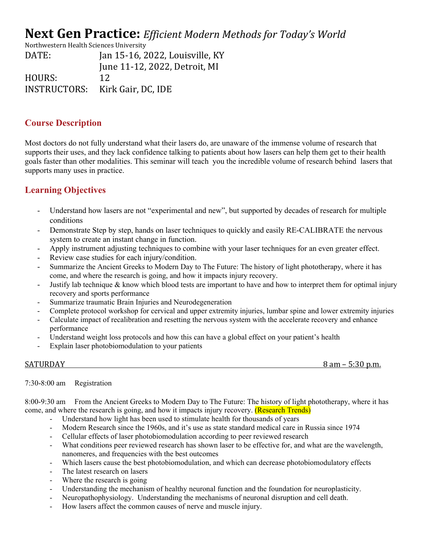# **Next Gen Practice:** *Efficient Modern Methods for Today's World*

Northwestern Health Sciences University DATE: Jan 15-16, 2022, Louisville, KY June 11-12, 2022, Detroit, MI HOURS: 12 INSTRUCTORS: Kirk Gair, DC, IDE

## **Course Description**

Most doctors do not fully understand what their lasers do, are unaware of the immense volume of research that supports their uses, and they lack confidence talking to patients about how lasers can help them get to their health goals faster than other modalities. This seminar will teach you the incredible volume of research behind lasers that supports many uses in practice.

# **Learning Objectives**

- Understand how lasers are not "experimental and new", but supported by decades of research for multiple conditions
- Demonstrate Step by step, hands on laser techniques to quickly and easily RE-CALIBRATE the nervous system to create an instant change in function.
- Apply instrument adjusting techniques to combine with your laser techniques for an even greater effect.
- Review case studies for each injury/condition.
- Summarize the Ancient Greeks to Modern Day to The Future: The history of light phototherapy, where it has come, and where the research is going, and how it impacts injury recovery.
- Justify lab technique & know which blood tests are important to have and how to interpret them for optimal injury recovery and sports performance
- Summarize traumatic Brain Injuries and Neurodegeneration
- Complete protocol workshop for cervical and upper extremity injuries, lumbar spine and lower extremity injuries
- Calculate impact of recalibration and resetting the nervous system with the accelerate recovery and enhance performance
- Understand weight loss protocols and how this can have a global effect on your patient's health
- Explain laser photobiomodulation to your patients

| <b>SATURDAY</b> | $\Omega$<br>nm<br>$-0.0$<br>וור<br>$\overline{\phantom{0}}$<br>dili<br>U.III. |
|-----------------|-------------------------------------------------------------------------------|
|                 |                                                                               |
|                 |                                                                               |

7:30-8:00 am Registration

8:00-9:30 am From the Ancient Greeks to Modern Day to The Future: The history of light phototherapy, where it has come, and where the research is going, and how it impacts injury recovery. (Research Trends)

- Understand how light has been used to stimulate health for thousands of years
- Modern Research since the 1960s, and it's use as state standard medical care in Russia since 1974
- Cellular effects of laser photobiomodulation according to peer reviewed research
- What conditions peer reviewed research has shown laser to be effective for, and what are the wavelength, nanomeres, and frequencies with the best outcomes
- Which lasers cause the best photobiomodulation, and which can decrease photobiomodulatory effects
- The latest research on lasers
- Where the research is going
- Understanding the mechanism of healthy neuronal function and the foundation for neuroplasticity.
- Neuropathophysiology. Understanding the mechanisms of neuronal disruption and cell death.
- How lasers affect the common causes of nerve and muscle injury.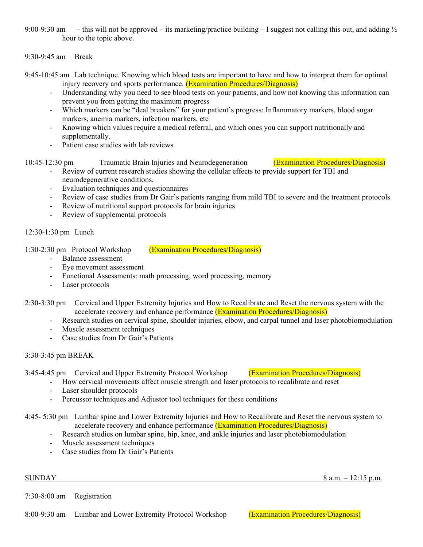9:00-9:30 am – this will not be approved – its marketing/practice building – I suggest not calling this out, and adding  $\frac{1}{2}$ hour to the topic above.

9:30-9:45 am Break

- 9:45-10:45 am Lab technique. Knowing which blood tests are important to have and how to interpret them for optimal injury recovery and sports performance. (Examination Procedures/Diagnosis)
	- Understanding why you need to see blood tests on your patients, and how not knowing this information can prevent you from getting the maximum progress
	- Which markers can be "deal breakers" for your patient's progress: Inflammatory markers, blood sugar markers, anemia markers, infection markers, etc
	- Knowing which values require a medical referral, and which ones you can support nutritionally and supplementally.
	- Patient case studies with lab reviews
- 10:45-12:30 pm Traumatic Brain Injuries and Neurodegeneration (Examination Procedures/Diagnosis)
	- Review of current research studies showing the cellular effects to provide support for TBI and neurodegenerative conditions.
	- Evaluation techniques and questionnaires
	- Review of case studies from Dr Gair's patients ranging from mild TBI to severe and the treatment protocols
	- Review of nutritional support protocols for brain injuries
	- Review of supplemental protocols

12:30-1:30 pm Lunch

1:30-2:30 pm Protocol Workshop (Examination Procedures/Diagnosis)

- Balance assessment
- Eye movement assessment
- Functional Assessments: math processing, word processing, memory
- Laser protocols
- 2:30-3:30 pm Cervical and Upper Extremity Injuries and How to Recalibrate and Reset the nervous system with the accelerate recovery and enhance performance (Examination Procedures/Diagnosis)
	- Research studies on cervical spine, shoulder injuries, elbow, and carpal tunnel and laser photobiomodulation
	- Muscle assessment techniques
	- Case studies from Dr Gair's Patients

### 3:30-3:45 pm BREAK

3:45-4:45 pm Cervical and Upper Extremity Protocol Workshop (Examination Procedures/Diagnosis)

- How cervical movements affect muscle strength and laser protocols to recalibrate and reset
- Laser shoulder protocols
- Percussor techniques and Adjustor tool techniques for these conditions

4:45- 5:30 pm Lumbar spine and Lower Extremity Injuries and How to Recalibrate and Reset the nervous system to accelerate recovery and enhance performance (Examination Procedures/Diagnosis)

- Research studies on lumbar spine, hip, knee, and ankle injuries and laser photobiomodulation
- Muscle assessment techniques
- Case studies from Dr Gair's Patients

 $SUNDAY$  8 a.m.  $-12:15$  p.m.

7:30-8:00 am Registration

8:00-9:30 am Lumbar and Lower Extremity Protocol Workshop (Examination Procedures/Diagnosis)